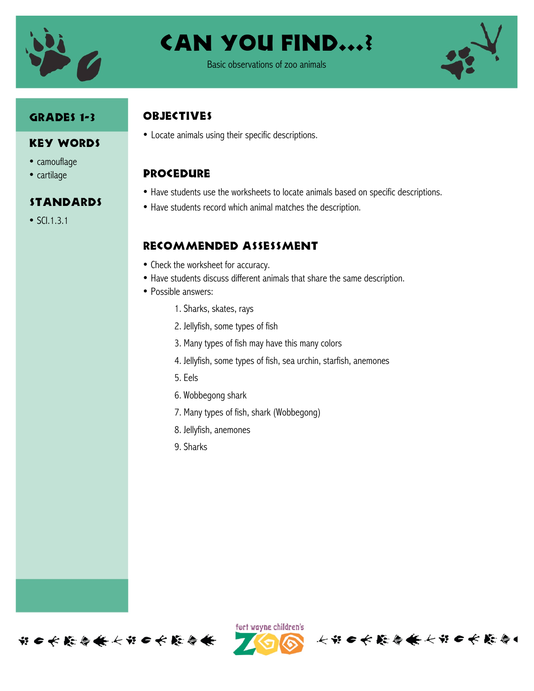

Can You Find…?

Basic observations of zoo animals

### Grades 1-3

#### Key Words

- camouflage
- cartilage

#### **STANDARDS**

• SCI.1.3.1

## **OBJECTIVES**

• Locate animals using their specific descriptions.

# **PROCEDURE**

- Have students use the worksheets to locate animals based on specific descriptions.
- Have students record which animal matches the description.

## Recommended assessment

- Check the worksheet for accuracy.
- Have students discuss different animals that share the same description.
- Possible answers:
	- 1. Sharks, skates, rays
	- 2. Jellyfish, some types of fish
	- 3. Many types of fish may have this many colors
	- 4. Jellyfish, some types of fish, sea urchin, starfish, anemones
	- 5. Eels
	- 6. Wobbegong shark
	- 7. Many types of fish, shark (Wobbegong)
	- 8. Jellyfish, anemones
	- 9. Sharks





长出口长能会条长出口长能会